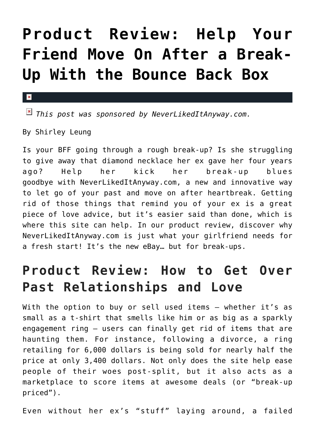## **[Product Review: Help Your](https://cupidspulse.com/89038/product-review-break-ups-bounce-back-box/) [Friend Move On After a Break-](https://cupidspulse.com/89038/product-review-break-ups-bounce-back-box/)[Up With the Bounce Back Box](https://cupidspulse.com/89038/product-review-break-ups-bounce-back-box/)**

## $\mathbf{x}$

*This post was sponsored by NeverLikedItAnyway.com.*

By Shirley Leung

Is your BFF going through a rough break-up? Is she struggling to give away that diamond necklace her ex gave her four years ago? Help her kick her break-up blues goodbye with NeverLikedItAnyway.com, a new and innovative way to let go of your past and move on after heartbreak. Getting rid of those things that remind you of your ex is a great piece of love advice, but it's easier said than done, which is where this site can help. In our product review, discover why NeverLikedItAnyway.com is just what your girlfriend needs for a fresh start! It's the new eBay… but for break-ups.

## **Product Review: How to Get Over Past Relationships and Love**

With the option to buy or sell used items — whether it's as small as a t-shirt that smells like him or as big as a sparkly engagement ring — users can finally get rid of items that are haunting them. For instance, following a divorce, a ring retailing for 6,000 dollars is being sold for nearly half the price at only 3,400 dollars. Not only does the site help ease people of their woes post-split, but it also acts as a marketplace to score items at awesome deals (or "break-up priced").

Even without her ex's "stuff" laying around, a failed